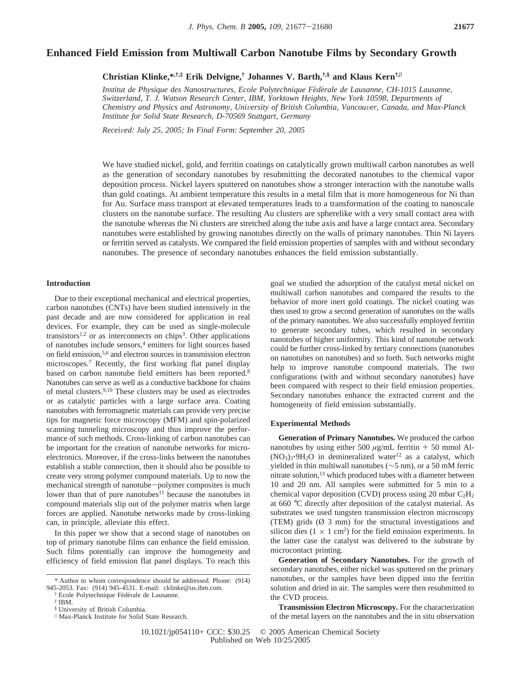# **Enhanced Field Emission from Multiwall Carbon Nanotube Films by Secondary Growth**

**Christian Klinke,\*,†,‡ Erik Delvigne,† Johannes V. Barth,†,§ and Klaus Kern†,**<sup>|</sup>

*Institut de Physique des Nanostructures, Ecole Polytechnique Fe*´*de*´*rale de Lausanne, CH-1015 Lausanne, Switzerland, T. J. Watson Research Center, IBM, Yorktown Heights, New York 10598, Departments of Chemistry and Physics and Astronomy, Uni*V*ersity of British Columbia, Vancou*V*er, Canada, and Max-Planck Institute for Solid State Research, D-70569 Stuttgart, Germany*

*Recei*V*ed: July 25, 2005; In Final Form: September 20, 2005*

We have studied nickel, gold, and ferritin coatings on catalytically grown multiwall carbon nanotubes as well as the generation of secondary nanotubes by resubmitting the decorated nanotubes to the chemical vapor deposition process. Nickel layers sputtered on nanotubes show a stronger interaction with the nanotube walls than gold coatings. At ambient temperature this results in a metal film that is more homogeneous for Ni than for Au. Surface mass transport at elevated temperatures leads to a transformation of the coating to nanoscale clusters on the nanotube surface. The resulting Au clusters are spherelike with a very small contact area with the nanotube whereas the Ni clusters are stretched along the tube axis and have a large contact area. Secondary nanotubes were established by growing nanotubes directly on the walls of primary nanotubes. Thin Ni layers or ferritin served as catalysts. We compared the field emission properties of samples with and without secondary nanotubes. The presence of secondary nanotubes enhances the field emission substantially.

## **Introduction**

Due to their exceptional mechanical and electrical properties, carbon nanotubes (CNTs) have been studied intensively in the past decade and are now considered for application in real devices. For example, they can be used as single-molecule transistors $1,2$  or as interconnects on chips<sup>3</sup>. Other applications of nanotubes include sensors,<sup>4</sup> emitters for light sources based on field emission,5,6 and electron sources in transmission electron microscopes.7 Recently, the first working flat panel display based on carbon nanotube field emitters has been reported.<sup>8</sup> Nanotubes can serve as well as a conductive backbone for chains of metal clusters.9,10 These clusters may be used as electrodes or as catalytic particles with a large surface area. Coating nanotubes with ferromagnetic materials can provide very precise tips for magnetic force microscopy (MFM) and spin-polarized scanning tunneling microscopy and thus improve the performance of such methods. Cross-linking of carbon nanotubes can be important for the creation of nanotube networks for microelectronics. Moreover, if the cross-links between the nanotubes establish a stable connection, then it should also be possible to create very strong polymer compound materials. Up to now the mechanical strength of nanotube-polymer composites is much lower than that of pure nanotubes<sup>11</sup> because the nanotubes in compound materials slip out of the polymer matrix when large forces are applied. Nanotube networks made by cross-linking can, in principle, alleviate this effect.

In this paper we show that a second stage of nanotubes on top of primary nanotube films can enhance the field emission. Such films potentially can improve the homogeneity and efficiency of field emission flat panel displays. To reach this

goal we studied the adsorption of the catalyst metal nickel on multiwall carbon nanotubes and compared the results to the behavior of more inert gold coatings. The nickel coating was then used to grow a second generation of nanotubes on the walls of the primary nanotubes. We also successfully employed ferritin to generate secondary tubes, which resulted in secondary nanotubes of higher uniformity. This kind of nanotube network could be further cross-linked by tertiary connections (nanotubes on nanotubes on nanotubes) and so forth. Such networks might help to improve nanotube compound materials. The two configurations (with and without secondary nanotubes) have been compared with respect to their field emission properties. Secondary nanotubes enhance the extracted current and the homogeneity of field emission substantially.

#### **Experimental Methods**

**Generation of Primary Nanotubes.** We produced the carbon nanotubes by using either 500  $\mu$ g/mL ferritin + 50 mmol Al- $(NO<sub>3</sub>)<sub>3</sub>·9H<sub>2</sub>O$  in demineralized water<sup>12</sup> as a catalyst, which yielded in thin multiwall nanotubes (∼5 nm), or a 50 mM ferric nitrate solution,13 which produced tubes with a diameter between 10 and 20 nm. All samples were submitted for 5 min to a chemical vapor deposition (CVD) process using 20 mbar  $C_2H_2$ at 660 °C directly after deposition of the catalyst material. As substrates we used tungsten transmission electron microscopy (TEM) grids (Ø 3 mm) for the structural investigations and silicon dies ( $1 \times 1$  cm<sup>2</sup>) for the field emission experiments. In the latter case the catalyst was delivered to the substrate by microcontact printing.

**Generation of Secondary Nanotubes.** For the growth of secondary nanotubes, either nickel was sputtered on the primary nanotubes, or the samples have been dipped into the ferritin solution and dried in air. The samples were then resubmitted to the CVD process.

**Transmission Electron Microscopy.** For the characterization of the metal layers on the nanotubes and the in situ observation

<sup>\*</sup> Author to whom correspondence should be addressed. Phone: (914) 945-2053. Fax: (914) 945-4531. E-mail: cklinke@us.ibm.com.

<sup>&</sup>lt;sup>†</sup> Ecole Polytechnique Fédérale de Lausanne.

 $\ddagger$  IBM.

<sup>§</sup> University of British Columbia.

<sup>||</sup> Max-Planck Institute for Solid State Research.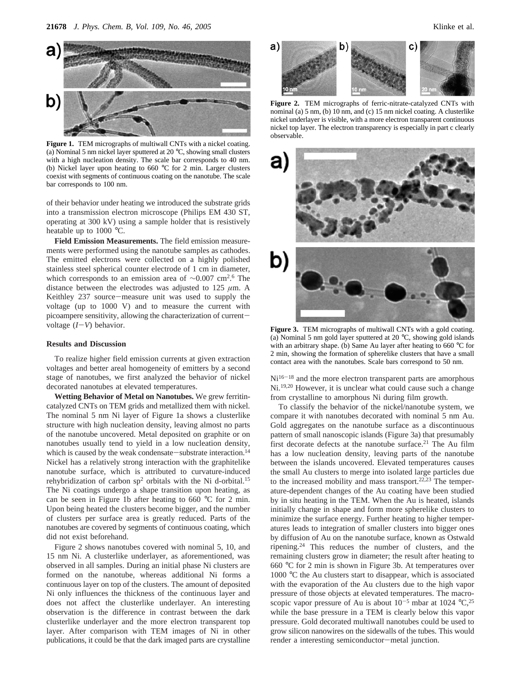

**Figure 1.** TEM micrographs of multiwall CNTs with a nickel coating. (a) Nominal 5 nm nickel layer sputtered at 20 °C, showing small clusters with a high nucleation density. The scale bar corresponds to 40 nm. (b) Nickel layer upon heating to 660 °C for 2 min. Larger clusters coexist with segments of continuous coating on the nanotube. The scale bar corresponds to 100 nm.

of their behavior under heating we introduced the substrate grids into a transmission electron microscope (Philips EM 430 ST, operating at 300 kV) using a sample holder that is resistively heatable up to 1000 °C.

**Field Emission Measurements.** The field emission measurements were performed using the nanotube samples as cathodes. The emitted electrons were collected on a highly polished stainless steel spherical counter electrode of 1 cm in diameter, which corresponds to an emission area of ∼0.007 cm2. <sup>6</sup> The distance between the electrodes was adjusted to 125 *µ*m. A Keithley 237 source-measure unit was used to supply the voltage (up to 1000 V) and to measure the current with picoampere sensitivity, allowing the characterization of currentvoltage (*I*-*V*) behavior.

### **Results and Discussion**

To realize higher field emission currents at given extraction voltages and better areal homogeneity of emitters by a second stage of nanotubes, we first analyzed the behavior of nickel decorated nanotubes at elevated temperatures.

**Wetting Behavior of Metal on Nanotubes.** We grew ferritincatalyzed CNTs on TEM grids and metallized them with nickel. The nominal 5 nm Ni layer of Figure 1a shows a clusterlike structure with high nucleation density, leaving almost no parts of the nanotube uncovered. Metal deposited on graphite or on nanotubes usually tend to yield in a low nucleation density, which is caused by the weak condensate-substrate interaction.<sup>14</sup> Nickel has a relatively strong interaction with the graphitelike nanotube surface, which is attributed to curvature-induced rehybridization of carbon  $sp^2$  orbitals with the Ni d-orbital.<sup>15</sup> The Ni coatings undergo a shape transition upon heating, as can be seen in Figure 1b after heating to 660 °C for 2 min. Upon being heated the clusters become bigger, and the number of clusters per surface area is greatly reduced. Parts of the nanotubes are covered by segments of continuous coating, which did not exist beforehand.

Figure 2 shows nanotubes covered with nominal 5, 10, and 15 nm Ni. A clusterlike underlayer, as aforementioned, was observed in all samples. During an initial phase Ni clusters are formed on the nanotube, whereas additional Ni forms a continuous layer on top of the clusters. The amount of deposited Ni only influences the thickness of the continuous layer and does not affect the clusterlike underlayer. An interesting observation is the difference in contrast between the dark clusterlike underlayer and the more electron transparent top layer. After comparison with TEM images of Ni in other publications, it could be that the dark imaged parts are crystalline



**Figure 2.** TEM micrographs of ferric-nitrate-catalyzed CNTs with nominal (a) 5 nm, (b) 10 nm, and (c) 15 nm nickel coating. A clusterlike nickel underlayer is visible, with a more electron transparent continuous nickel top layer. The electron transparency is especially in part c clearly observable.



**Figure 3.** TEM micrographs of multiwall CNTs with a gold coating. (a) Nominal 5 nm gold layer sputtered at 20 °C, showing gold islands with an arbitrary shape. (b) Same Au layer after heating to 660 °C for 2 min, showing the formation of spherelike clusters that have a small contact area with the nanotubes. Scale bars correspond to 50 nm.

Ni<sup>16-18</sup> and the more electron transparent parts are amorphous Ni.19,20 However, it is unclear what could cause such a change from crystalline to amorphous Ni during film growth.

To classify the behavior of the nickel/nanotube system, we compare it with nanotubes decorated with nominal 5 nm Au. Gold aggregates on the nanotube surface as a discontinuous pattern of small nanoscopic islands (Figure 3a) that presumably first decorate defects at the nanotube surface.<sup>21</sup> The Au film has a low nucleation density, leaving parts of the nanotube between the islands uncovered. Elevated temperatures causes the small Au clusters to merge into isolated large particles due to the increased mobility and mass transport.<sup>22,23</sup> The temperature-dependent changes of the Au coating have been studied by in situ heating in the TEM. When the Au is heated, islands initially change in shape and form more spherelike clusters to minimize the surface energy. Further heating to higher temperatures leads to integration of smaller clusters into bigger ones by diffusion of Au on the nanotube surface, known as Ostwald ripening.24 This reduces the number of clusters, and the remaining clusters grow in diameter; the result after heating to 660 °C for 2 min is shown in Figure 3b. At temperatures over 1000 °C the Au clusters start to disappear, which is associated with the evaporation of the Au clusters due to the high vapor pressure of those objects at elevated temperatures. The macroscopic vapor pressure of Au is about  $10^{-5}$  mbar at  $1024$  °C,<sup>25</sup> while the base pressure in a TEM is clearly below this vapor pressure. Gold decorated multiwall nanotubes could be used to grow silicon nanowires on the sidewalls of the tubes. This would render a interesting semiconductor-metal junction.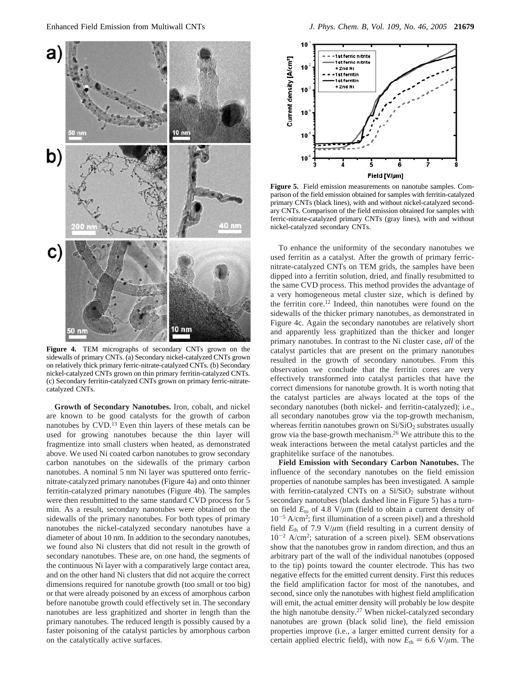

**Figure 4.** TEM micrographs of secondary CNTs grown on the sidewalls of primary CNTs. (a) Secondary nickel-catalyzed CNTs grown on relatively thick primary ferric-nitrate-catalyzed CNTs. (b) Secondary nickel-catalyzed CNTs grown on thin primary ferritin-catalyzed CNTs. (c) Secondary ferritin-catalyzed CNTs grown on primary ferric-nitratecatalyzed CNTs.

**Growth of Secondary Nanotubes.** Iron, cobalt, and nickel are known to be good catalysts for the growth of carbon nanotubes by CVD.13 Even thin layers of these metals can be used for growing nanotubes because the thin layer will fragmentize into small clusters when heated, as demonstrated above. We used Ni coated carbon nanotubes to grow secondary carbon nanotubes on the sidewalls of the primary carbon nanotubes. A nominal 5 nm Ni layer was sputtered onto ferricnitrate-catalyzed primary nanotubes (Figure 4a) and onto thinner ferritin-catalyzed primary nanotubes (Figure 4b). The samples were then resubmitted to the same standard CVD process for 5 min. As a result, secondary nanotubes were obtained on the sidewalls of the primary nanotubes. For both types of primary nanotubes the nickel-catalyzed secondary nanotubes have a diameter of about 10 nm. In addition to the secondary nanotubes, we found also Ni clusters that did not result in the growth of secondary nanotubes. These are, on one hand, the segments of the continuous Ni layer with a comparatively large contact area, and on the other hand Ni clusters that did not acquire the correct dimensions required for nanotube growth (too small or too big) or that were already poisoned by an excess of amorphous carbon before nanotube growth could effectively set in. The secondary nanotubes are less graphitized and shorter in length than the primary nanotubes. The reduced length is possibly caused by a faster poisoning of the catalyst particles by amorphous carbon on the catalytically active surfaces.



**Figure 5.** Field emission measurements on nanotube samples. Comparison of the field emission obtained for samples with ferritin-catalyzed primary CNTs (black lines), with and without nickel-catalyzed secondary CNTs. Comparison of the field emission obtained for samples with ferric-nitrate-catalyzed primary CNTs (gray lines), with and without nickel-catalyzed secondary CNTs.

To enhance the uniformity of the secondary nanotubes we used ferritin as a catalyst. After the growth of primary ferricnitrate-catalyzed CNTs on TEM grids, the samples have been dipped into a ferritin solution, dried, and finally resubmitted to the same CVD process. This method provides the advantage of a very homogeneous metal cluster size, which is defined by the ferritin core.12 Indeed, thin nanotubes were found on the sidewalls of the thicker primary nanotubes, as demonstrated in Figure 4c. Again the secondary nanotubes are relatively short and apparently less graphitized than the thicker and longer primary nanotubes. In contrast to the Ni cluster case, *all* of the catalyst particles that are present on the primary nanotubes resulted in the growth of secondary nanotubes. From this observation we conclude that the ferritin cores are very effectively transformed into catalyst particles that have the correct dimensions for nanotube growth. It is worth noting that the catalyst particles are always located at the tops of the secondary nanotubes (both nickel- and ferritin-catalyzed); i.e., all secondary nanotubes grow via the top-growth mechanism, whereas ferritin nanotubes grown on  $Si/SiO<sub>2</sub>$  substrates usually grow via the base-growth mechanism.26 We attribute this to the weak interactions between the metal catalyst particles and the graphitelike surface of the nanotubes.

**Field Emission with Secondary Carbon Nanotubes.** The influence of the secondary nanotubes on the field emission properties of nanotube samples has been investigated. A sample with ferritin-catalyzed CNTs on a  $Si/SiO<sub>2</sub>$  substrate without secondary nanotubes (black dashed line in Figure 5) has a turnon field  $E_{\text{to}}$  of 4.8 V/ $\mu$ m (field to obtain a current density of  $10^{-5}$  A/cm<sup>2</sup>; first illumination of a screen pixel) and a threshold field  $E_{\text{th}}$  of 7.9 V/ $\mu$ m (field resulting in a current density of  $10^{-2}$  A/cm<sup>2</sup>; saturation of a screen pixel). SEM observations show that the nanotubes grow in random direction, and thus an arbitrary part of the wall of the individual nanotubes (opposed to the tip) points toward the counter electrode. This has two negative effects for the emitted current density. First this reduces the field amplification factor for most of the nanotubes, and second, since only the nanotubes with highest field amplification will emit, the actual emitter density will probably be low despite the high nanotube density.<sup>27</sup> When nickel-catalyzed secondary nanotubes are grown (black solid line), the field emission properties improve (i.e., a larger emitted current density for a certain applied electric field), with now  $E_{\text{th}} = 6.6 \text{ V}/\mu \text{m}$ . The